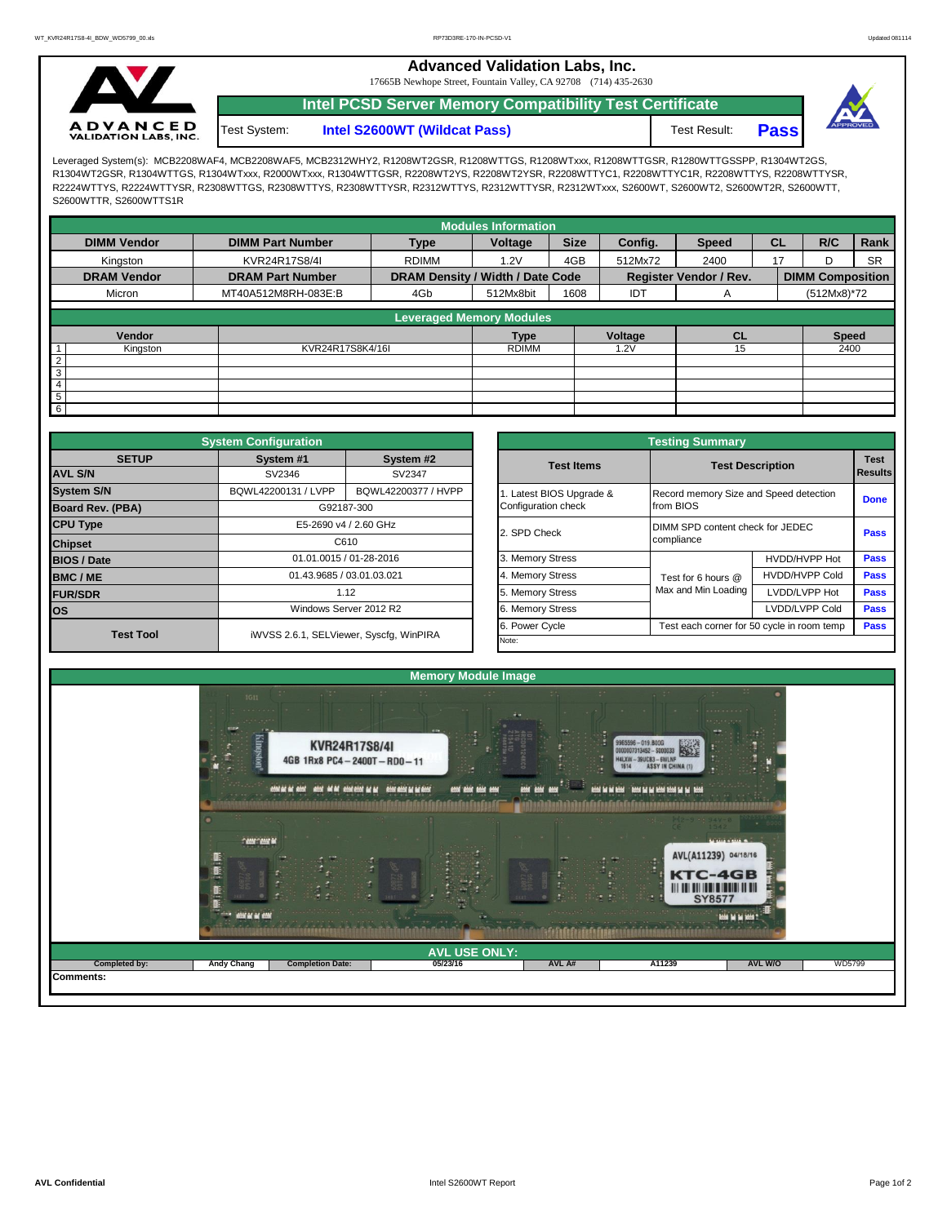**Advanced Validation Labs, Inc.** 

17665B Newhope Street, Fountain Valley, CA 92708 (714) 435-2630



**Intel PCSD Server Memory Compatibility Test Certificate**

Test System: **Intel S2600WT (Wildcat Pass)** Test Result: **Pass** 



Leveraged System(s): MCB2208WAF4, MCB2208WAF5, MCB2312WHY2, R1208WT2GSR, R1208WTTGS, R1208WTxxx, R1208WTTGSR, R1280WTTGSSPP, R1304WT2GS, R1304WT2GSR, R1304WTTGS, R1304WTxxx, R2000WTxxx, R1304WTTGSR, R2208WT2YS, R2208WT2YSR, R2208WTTYC1, R2208WTTYC1R, R2208WTTYS, R2208WTTYSR, R2224WTTYS, R2224WTTYSR, R2308WTTGS, R2308WTTYS, R2308WTTYSR, R2312WTTYS, R2312WTTYSR, R2312WTxxx, S2600WT, S2600WT2, S2600WT2R, S2600WTT, S2600WTTR, S2600WTTS1R

|                    |                                                       |                                 | <b>Modules Information</b>       |             |         |                               |           |                         |           |  |
|--------------------|-------------------------------------------------------|---------------------------------|----------------------------------|-------------|---------|-------------------------------|-----------|-------------------------|-----------|--|
| <b>DIMM Vendor</b> | <b>DIMM Part Number</b>                               | <b>Type</b>                     | Voltage                          | <b>Size</b> | Config. | <b>Speed</b>                  | <b>CL</b> | R/C                     | Rank      |  |
| Kingston           | KVR24R17S8/4I                                         | <b>RDIMM</b>                    | 1.2V                             | 4GB         | 512Mx72 | 2400                          | 17        |                         | <b>SR</b> |  |
| <b>DRAM Vendor</b> | <b>DRAM Part Number</b><br>MT40A512M8RH-083E:B<br>4Gb |                                 | DRAM Density / Width / Date Code |             |         | <b>Register Vendor / Rev.</b> |           | <b>DIMM Composition</b> |           |  |
| Micron             |                                                       |                                 | 512Mx8bit                        | 1608        | IDT     | A                             |           | (512Mx8)*72             |           |  |
|                    |                                                       | <b>Leveraged Memory Modules</b> |                                  |             |         |                               |           |                         |           |  |
|                    |                                                       |                                 |                                  |             |         |                               |           |                         |           |  |
| Vendor             |                                                       |                                 |                                  |             | Voltage | <b>CL</b>                     |           | <b>Speed</b>            |           |  |
| Kingston<br>1      |                                                       | KVR24R17S8K4/16I                |                                  |             | .2V     | 15                            |           | 2400                    |           |  |
| $\overline{2}$     |                                                       |                                 |                                  |             |         |                               |           |                         |           |  |
| $\overline{3}$     |                                                       |                                 |                                  |             |         |                               |           |                         |           |  |
| $\overline{4}$     |                                                       |                                 |                                  |             |         |                               |           |                         |           |  |
| 5                  |                                                       |                                 |                                  |             |         |                               |           |                         |           |  |
| $6\overline{6}$    |                                                       |                                 |                                  |             |         |                               |           |                         |           |  |

|                         | <b>System Configuration</b>    |                                         |  | <b>Testing Summary</b>  |                                        |                                            |                                                                     |  |  |  |  |
|-------------------------|--------------------------------|-----------------------------------------|--|-------------------------|----------------------------------------|--------------------------------------------|---------------------------------------------------------------------|--|--|--|--|
| <b>SETUP</b>            | System #1                      | System #2                               |  | <b>Test Items</b>       | <b>Test Description</b>                |                                            |                                                                     |  |  |  |  |
| <b>AVL S/N</b>          | SV2346                         | SV2347                                  |  |                         |                                        |                                            |                                                                     |  |  |  |  |
| <b>System S/N</b>       | BQWL42200131 / LVPP            | BQWL42200377 / HVPP                     |  | . Latest BIOS Upgrade & | Record memory Size and Speed detection |                                            |                                                                     |  |  |  |  |
| <b>Board Rev. (PBA)</b> |                                | G92187-300                              |  | Configuration check     | from BIOS                              |                                            |                                                                     |  |  |  |  |
| <b>CPU Type</b>         |                                | E5-2690 v4 / 2.60 GHz                   |  | 2. SPD Check            |                                        | DIMM SPD content check for JEDEC           |                                                                     |  |  |  |  |
| C610<br><b>Chipset</b>  |                                |                                         |  |                         | compliance                             |                                            |                                                                     |  |  |  |  |
| <b>BIOS / Date</b>      |                                | 01.01.0015 / 01-28-2016                 |  | 3. Memory Stress        |                                        | HVDD/HVPP Hot                              | <b>Pass</b>                                                         |  |  |  |  |
| <b>BMC/ME</b>           |                                | 01.43.9685 / 03.01.03.021               |  | 4. Memory Stress        | Test for 6 hours @                     | <b>HVDD/HVPP Cold</b>                      | <b>Pass</b>                                                         |  |  |  |  |
| <b>FUR/SDR</b>          | 1.12<br>Windows Server 2012 R2 |                                         |  | 5. Memory Stress        | Max and Min Loading                    | LVDD/LVPP Hot                              | <b>Pass</b>                                                         |  |  |  |  |
| <b>los</b>              |                                |                                         |  | 6. Memory Stress        |                                        | LVDD/LVPP Cold                             | <b>Pass</b>                                                         |  |  |  |  |
| <b>Test Tool</b>        |                                | iWVSS 2.6.1, SELViewer, Syscfq, WinPIRA |  | 6. Power Cycle          |                                        | Test each corner for 50 cycle in room temp |                                                                     |  |  |  |  |
|                         |                                |                                         |  | Note:                   |                                        |                                            | <b>Test</b><br>Results<br><b>Done</b><br><b>Pass</b><br><b>Pass</b> |  |  |  |  |

|              | <b>System Configuration</b> |                                              | <b>Testing Summary</b> |                                            |                                                |      |  |  |  |  |  |  |
|--------------|-----------------------------|----------------------------------------------|------------------------|--------------------------------------------|------------------------------------------------|------|--|--|--|--|--|--|
| <b>SETUP</b> | System #1                   | System #2                                    | <b>Test Items</b>      |                                            | <b>Test Description</b>                        |      |  |  |  |  |  |  |
|              | SV2346                      | SV2347                                       |                        |                                            | <b>Results</b>                                 |      |  |  |  |  |  |  |
|              | BQWL42200131 / LVPP         | BQWL42200377 / HVPP<br>Latest BIOS Upgrade & |                        |                                            | Record memory Size and Speed detection         |      |  |  |  |  |  |  |
| PBA)         |                             | G92187-300                                   | Configuration check    | from BIOS                                  |                                                |      |  |  |  |  |  |  |
|              |                             | E5-2690 v4 / 2.60 GHz                        | 2. SPD Check           |                                            | DIMM SPD content check for JEDEC<br>compliance |      |  |  |  |  |  |  |
|              |                             | C610                                         |                        |                                            |                                                |      |  |  |  |  |  |  |
|              |                             | 01.01.0015 / 01-28-2016                      | 3. Memory Stress       |                                            | <b>Pass</b>                                    |      |  |  |  |  |  |  |
|              |                             | 01.43.9685 / 03.01.03.021                    | 4. Memory Stress       | Test for 6 hours @                         | <b>HVDD/HVPP Cold</b>                          | Pass |  |  |  |  |  |  |
|              |                             | 1.12                                         |                        | Max and Min Loading                        | LVDD/LVPP Hot                                  | Pass |  |  |  |  |  |  |
|              |                             | Windows Server 2012 R2                       | 6. Memory Stress       |                                            | LVDD/LVPP Cold                                 |      |  |  |  |  |  |  |
|              |                             |                                              | 6. Power Cycle         | Test each corner for 50 cycle in room temp |                                                |      |  |  |  |  |  |  |
| est Tool     |                             | iWVSS 2.6.1, SELViewer, Syscfg, WinPIRA      | Note:                  |                                            |                                                |      |  |  |  |  |  |  |